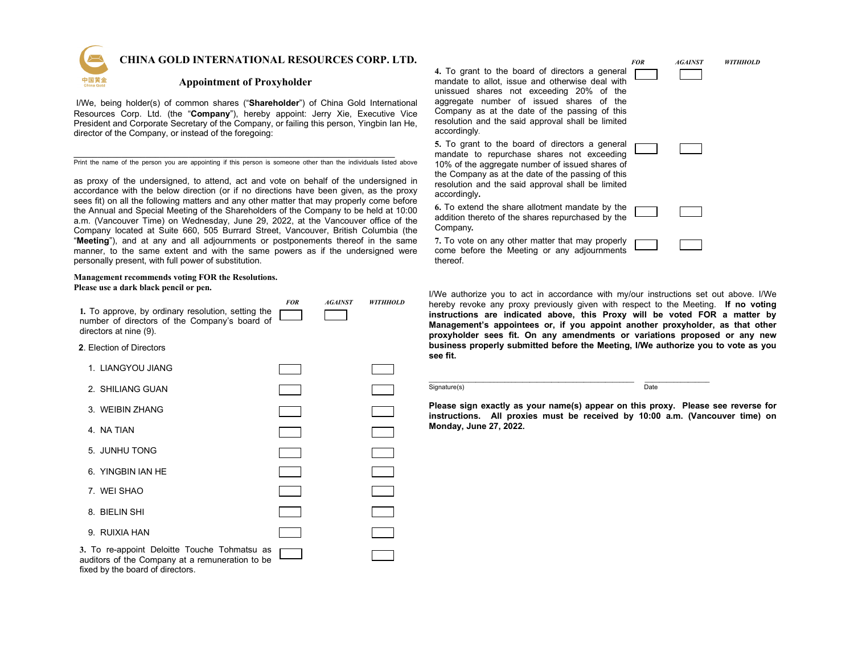

 **CHINA GOLD INTERNATIONAL RESOURCES CORP. LTD.**

## **Appointment of Proxyholder**

I/We, being holder(s) of common shares ("**Shareholder**") of China Gold International Resources Corp. Ltd. (the "**Company**"), hereby appoint: Jerry Xie, Executive Vice President and Corporate Secretary of the Company, or failing this person, Yingbin Ian He, director of the Company, or instead of the foregoing:

\_\_\_\_\_\_\_\_\_\_\_\_\_\_\_\_\_\_\_\_\_\_\_\_\_\_\_\_\_\_\_\_\_\_\_\_\_\_\_\_\_\_\_\_\_\_\_\_\_\_\_\_\_\_\_\_\_\_\_\_\_\_\_\_\_\_\_ Print the name of the person you are appointing if this person is someone other than the individuals listed above

as proxy of the undersigned, to attend, act and vote on behalf of the undersigned in accordance with the below direction (or if no directions have been given, as the proxy sees fit) on all the following matters and any other matter that may properly come before the Annual and Special Meeting of the Shareholders of the Company to be held at 10:00 a.m. (Vancouver Time) on Wednesday, June 29, 2022, at the Vancouver office of the Company located at Suite 660, 505 Burrard Street, Vancouver, British Columbia (the "**Meeting**"), and at any and all adjournments or postponements thereof in the same manner, to the same extent and with the same powers as if the undersigned were personally present, with full power of substitution.

#### **Management recommends voting FOR the Resolutions. Please use a dark black pencil or pen.**

| 1. To approve, by ordinary resolution, setting the<br>number of directors of the Company's board of<br>directors at nine (9). | <b>FOR</b> | <b>AGAINST</b> | <b>WITHHOLD</b> |
|-------------------------------------------------------------------------------------------------------------------------------|------------|----------------|-----------------|
| 2. Election of Directors                                                                                                      |            |                |                 |
| 1. LIANGYOU JIANG                                                                                                             |            |                |                 |
| 2. SHILIANG GUAN                                                                                                              |            |                |                 |
| 3. WEIBIN ZHANG                                                                                                               |            |                |                 |
| 4. NA TIAN                                                                                                                    |            |                |                 |
| 5. JUNHU TONG                                                                                                                 |            |                |                 |
| 6. YINGBIN IAN HE                                                                                                             |            |                |                 |
| 7. WEI SHAO                                                                                                                   |            |                |                 |
| 8. BIELIN SHI                                                                                                                 |            |                |                 |
| 9. RUIXIA HAN                                                                                                                 |            |                |                 |
| 3. To re-appoint Deloitte Touche Tohmatsu as<br>qualitare of the Company at a remuneration to be                              |            |                |                 |

auditors of the Company at a remuneration to be fixed by the board of directors.

 *FOR AGAINST WITHHOLD* **4.** To grant to the board of directors a general mandate to allot, issue and otherwise deal with unissued shares not exceeding 20% of the aggregate number of issued shares of the Company as at the date of the passing of this resolution and the said approval shall be limited accordingly*.* 

**5.** To grant to the board of directors a general mandate to repurchase shares not exceeding 10% of the aggregate number of issued shares of the Company as at the date of the passing of this resolution and the said approval shall be limited accordingly**.**

**6.** To extend the share allotment mandate by the addition thereto of the shares repurchased by the Company*.* 

**7.** To vote on any other matter that may properly come before the Meeting or any adjournments thereof.

I/We authorize you to act in accordance with my/our instructions set out above. I/We hereby revoke any proxy previously given with respect to the Meeting. **If no voting instructions are indicated above, this Proxy will be voted FOR a matter by Management's appointees or, if you appoint another proxyholder, as that other proxyholder sees fit. On any amendments or variations proposed or any new business properly submitted before the Meeting, I/We authorize you to vote as you see fit.**

 $\_$  , and the set of the set of the set of the set of the set of the set of the set of the set of the set of the set of the set of the set of the set of the set of the set of the set of the set of the set of the set of th Signature(s) Date

**Please sign exactly as your name(s) appear on this proxy. Please see reverse for instructions. All proxies must be received by 10:00 a.m. (Vancouver time) on Monday, June 27, 2022.**